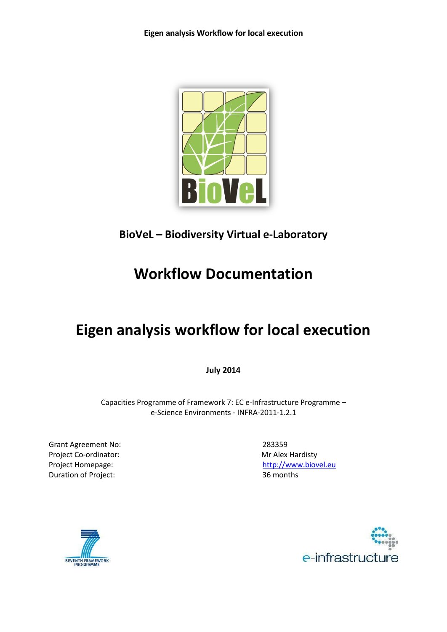

## **BioVeL – Biodiversity Virtual e-Laboratory**

## **Workflow Documentation**

# **Eigen analysis workflow for local execution**

**July 2014**

Capacities Programme of Framework 7: EC e-Infrastructure Programme – e-Science Environments - INFRA-2011-1.2.1

Grant Agreement No: 283359 Project Co-ordinator: Mr Alex Hardisty Duration of Project: 36 months

Project Homepage: [http://www.biovel.eu](http://www.biovel.eu/)



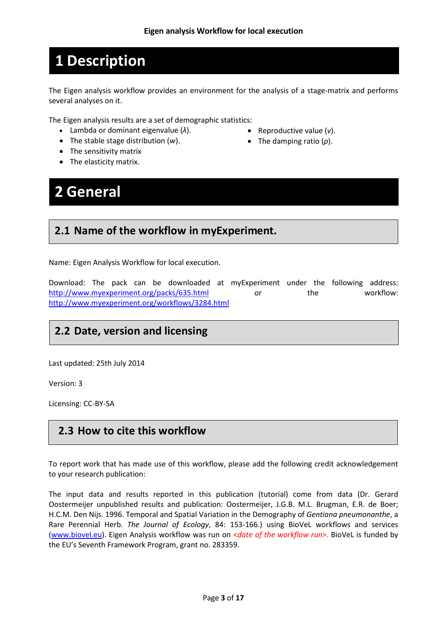# **1 Description**

The Eigen analysis workflow provides an environment for the analysis of a stage-matrix and performs several analyses on it.

> • Reproductive value (*v*). • The damping ratio (*ρ*).

The Eigen analysis results are a set of demographic statistics:

- Lambda or dominant eigenvalue (*λ*).
- The stable stage distribution (*w*).
- The sensitivity matrix
- The elasticity matrix.

# **2 General**

## **2.1 Name of the workflow in myExperiment.**

Name: Eigen Analysis Workflow for local execution.

Download: The pack can be downloaded at myExperiment under the following address: <http://www.myexperiment.org/packs/635.html> or the workflow: <http://www.myexperiment.org/workflows/3284.html>

## **2.2 Date, version and licensing**

Last updated: 25th July 2014

Version: 3

Licensing: CC-BY-SA

## **2.3 How to cite this workflow**

To report work that has made use of this workflow, please add the following credit acknowledgement to your research publication:

The input data and results reported in this publication (tutorial) come from data (Dr. Gerard Oostermeijer unpublished results and publication: Oostermeijer, J.G.B. M.L. Brugman, E.R. de Boer; H.C.M. Den Nijs. 1996. Temporal and Spatial Variation in the Demography of *Gentiana pneumonanthe*, a Rare Perennial Herb. *The Journal of Ecology*, 84: 153-166.) using BioVeL workflows and services [\(www.biovel.eu\)](http://www.biovel.eu/). Eigen Analysis workflow was run on <*date of the workflow run*>. BioVeL is funded by the EU's Seventh Framework Program, grant no. 283359.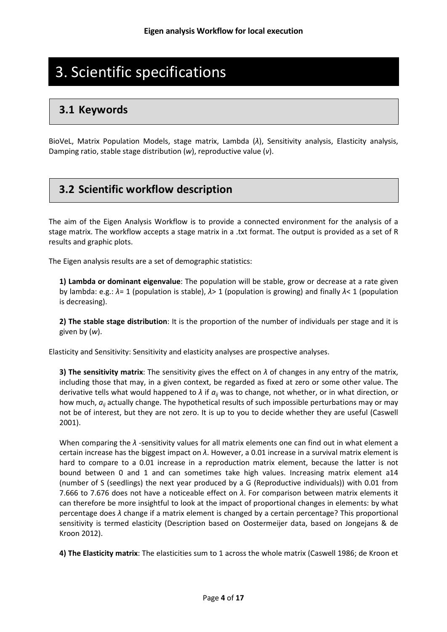# 3. Scientific specifications

## **3.1 Keywords**

BioVeL, Matrix Population Models, stage matrix, Lambda (*λ*), Sensitivity analysis, Elasticity analysis, Damping ratio, stable stage distribution (*w*), reproductive value (*v*).

## **3.2 Scientific workflow description**

The aim of the Eigen Analysis Workflow is to provide a connected environment for the analysis of a stage matrix. The workflow accepts a stage matrix in a .txt format. The output is provided as a set of R results and graphic plots.

The Eigen analysis results are a set of demographic statistics:

**1) Lambda or dominant eigenvalue**: The population will be stable, grow or decrease at a rate given by lambda: e.g.: *λ*= 1 (population is stable), *λ*> 1 (population is growing) and finally *λ*< 1 (population is decreasing).

**2) The stable stage distribution**: It is the proportion of the number of individuals per stage and it is given by (*w*).

Elasticity and Sensitivity: Sensitivity and elasticity analyses are prospective analyses.

**3) The sensitivity matrix**: The sensitivity gives the effect on *λ* of changes in any entry of the matrix, including those that may, in a given context, be regarded as fixed at zero or some other value. The derivative tells what would happened to *λ* if *aij* was to change, not whether, or in what direction, or how much, *aij* actually change. The hypothetical results of such impossible perturbations may or may not be of interest, but they are not zero. It is up to you to decide whether they are useful (Caswell 2001).

When comparing the *λ* -sensitivity values for all matrix elements one can find out in what element a certain increase has the biggest impact on *λ*. However, a 0.01 increase in a survival matrix element is hard to compare to a 0.01 increase in a reproduction matrix element, because the latter is not bound between 0 and 1 and can sometimes take high values. Increasing matrix element a14 (number of S (seedlings) the next year produced by a G (Reproductive individuals)) with 0.01 from 7.666 to 7.676 does not have a noticeable effect on *λ*. For comparison between matrix elements it can therefore be more insightful to look at the impact of proportional changes in elements: by what percentage does *λ* change if a matrix element is changed by a certain percentage? This proportional sensitivity is termed elasticity (Description based on Oostermeijer data, based on Jongejans & de Kroon 2012).

**4) The Elasticity matrix**: The elasticities sum to 1 across the whole matrix (Caswell 1986; de Kroon et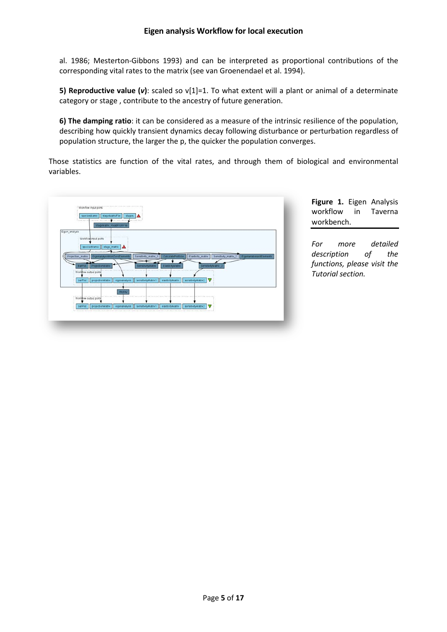al. 1986; Mesterton-Gibbons 1993) and can be interpreted as proportional contributions of the corresponding vital rates to the matrix (see van Groenendael et al. 1994).

**5) Reproductive value (***v***)**: scaled so v[1]=1. To what extent will a plant or animal of a determinate category or stage , contribute to the ancestry of future generation.

**6) The damping ratio**: it can be considered as a measure of the intrinsic resilience of the population, describing how quickly transient dynamics decay following disturbance or perturbation regardless of population structure, the larger the p, the quicker the population converges.

Those statistics are function of the vital rates, and through them of biological and environmental variables.



**Figure 1.** Eigen Analysis workflow in Taverna workbench.

*For more detailed description of the functions, please visit the Tutorial section.*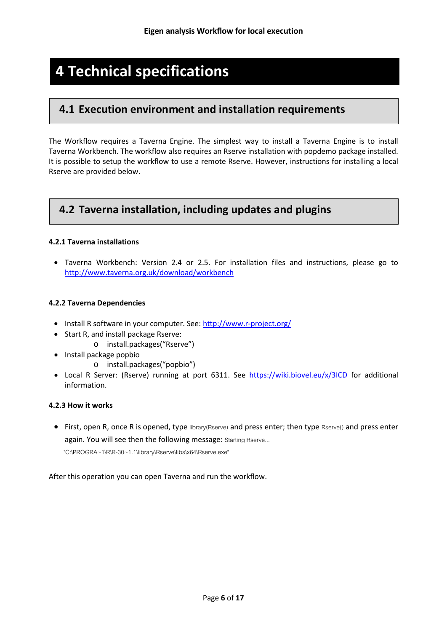# **4 Technical specifications**

## **4.1 Execution environment and installation requirements**

The Workflow requires a Taverna Engine. The simplest way to install a Taverna Engine is to install Taverna Workbench. The workflow also requires an Rserve installation with popdemo package installed. It is possible to setup the workflow to use a remote Rserve. However, instructions for installing a local Rserve are provided below.

## **4.2 Taverna installation, including updates and plugins**

### **4.2.1 Taverna installations**

• Taverna Workbench: Version 2.4 or 2.5. For installation files and instructions, please go to [http://www.taverna.org.uk/download/workbench](http://www.taverna.org.uk/download/workbench/2-4/)

### **4.2.2 Taverna Dependencies**

- Install R software in your computer. See[: http://www.r-project.org/](http://www.r-project.org/)
- Start R, and install package Rserve:
	- o install.packages("Rserve")
- Install package popbio
	- o install.packages("popbio")
- Local R Server: (Rserve) running at port 6311. See <https://wiki.biovel.eu/x/3ICD> for additional information.

#### **4.2.3 How it works**

• First, open R, once R is opened, type library(Rserve) and press enter; then type Rserve() and press enter again. You will see then the following message: Starting Rserve...

"C:\PROGRA~1\R\R-30~1.1\library\Rserve\libs\x64\Rserve.exe"

After this operation you can open Taverna and run the workflow.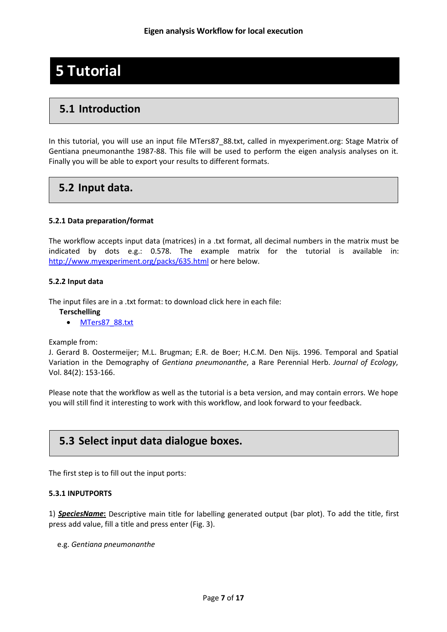# **5 Tutorial**

## **5.1 Introduction**

In this tutorial, you will use an input file MTers87\_88.txt, called in myexperiment.org: Stage Matrix of Gentiana pneumonanthe 1987-88. This file will be used to perform the eigen analysis analyses on it. Finally you will be able to export your results to different formats.

## **5.2 Input data.**

### **5.2.1 Data preparation/format**

The workflow accepts input data (matrices) in a .txt format, all decimal numbers in the matrix must be indicated by dots e.g.: 0.578. The example matrix for the tutorial is available in: <http://www.myexperiment.org/packs/635.html> or here below.

### **5.2.2 Input data**

The input files are in a .txt format: to download click here in each file:

- **Terschelling**
	- MTers87\_88.txt

Example from:

J. Gerard B. Oostermeijer; M.L. Brugman; E.R. de Boer; H.C.M. Den Nijs. 1996. Temporal and Spatial Variation in the Demography of *Gentiana pneumonanthe*, a Rare Perennial Herb. *Journal of Ecology*, Vol. 84(2): 153-166.

Please note that the workflow as well as the tutorial is a beta version, and may contain errors. We hope you will still find it interesting to work with this workflow, and look forward to your feedback.

## **5.3 Select input data dialogue boxes.**

The first step is to fill out the input ports:

#### **5.3.1 INPUTPORTS**

1) *SpeciesName***:** Descriptive main title for labelling generated output (bar plot). To add the title, first press add value, fill a title and press enter (Fig. 3).

e.g. *Gentiana pneumonanthe*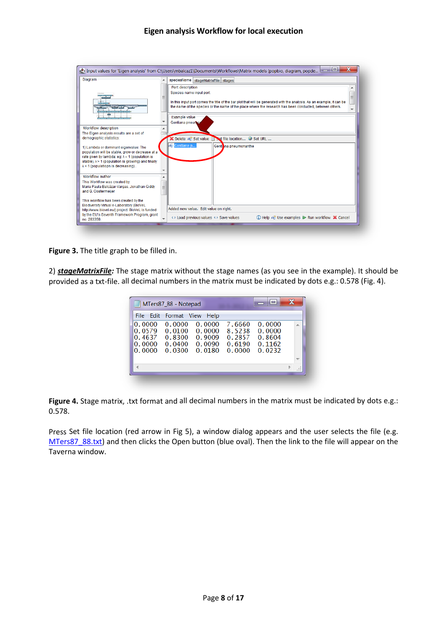

**Figure 3.** The title graph to be filled in.

2) *stageMatrixFile:* The stage matrix without the stage names (as you see in the example). It should be provided as a txt-file. all decimal numbers in the matrix must be indicated by dots e.g.: 0.578 (Fig. 4).

| <b>COUNTY</b><br>MTers87 88 - Notepad          |                                                |                                                |                                                |                                                |   |  |  |  |  |  |  |
|------------------------------------------------|------------------------------------------------|------------------------------------------------|------------------------------------------------|------------------------------------------------|---|--|--|--|--|--|--|
| File:                                          | Edit Format View                               | <b>Help</b>                                    |                                                |                                                |   |  |  |  |  |  |  |
| 0.0000<br>0.0579<br>0.4637<br>0.0000<br>0.0000 | 0.0000<br>0.0100<br>0.8300<br>0.0400<br>0.0300 | 0.0000<br>0.0000<br>0.9009<br>0.0090<br>0.0180 | 7.6660<br>8.5238<br>0.2857<br>0.6190<br>0.0000 | 0.0000<br>0.0000<br>0.8604<br>0.1162<br>0.0232 | A |  |  |  |  |  |  |
|                                                |                                                |                                                |                                                |                                                |   |  |  |  |  |  |  |

**Figure 4.** Stage matrix, .txt format and all decimal numbers in the matrix must be indicated by dots e.g.: 0.578.

Press Set file location (red arrow in Fig 5), a window dialog appears and the user selects the file (e.g. MTers87\_88.txt) and then clicks the Open button (blue oval). Then the link to the file will appear on the Taverna window.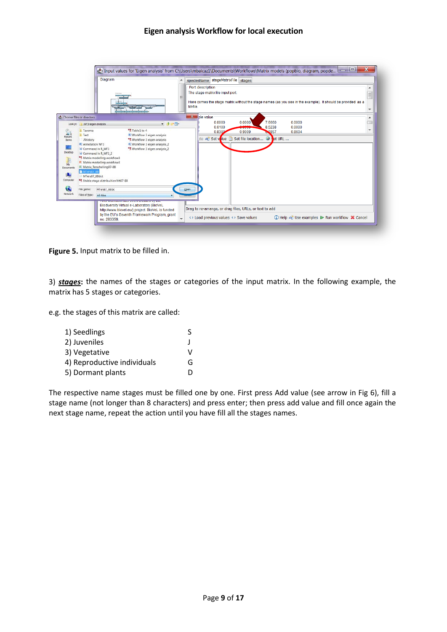|                                                                                                                                                      |                                                                                                                                                                       | Diagram                                                                                                                                                                                      |                                                                                                                                                                                                     |                          | txt-file. | speciesName stageMatrixFile stages<br>Port description<br>The stage matrix file input port:                                  |                  |                          |                            | Here comes the stage matrix without the stage names (as you see in the example). It should be provided as a | ▲<br>E<br>$\overline{\phantom{0}}$ |
|------------------------------------------------------------------------------------------------------------------------------------------------------|-----------------------------------------------------------------------------------------------------------------------------------------------------------------------|----------------------------------------------------------------------------------------------------------------------------------------------------------------------------------------------|-----------------------------------------------------------------------------------------------------------------------------------------------------------------------------------------------------|--------------------------|-----------|------------------------------------------------------------------------------------------------------------------------------|------------------|--------------------------|----------------------------|-------------------------------------------------------------------------------------------------------------|------------------------------------|
| Choose files or directory<br>Look in:<br>œ<br>$-28$<br>Recent<br><b>Zems</b><br>Desktop<br>E<br>Mv<br><b>Documents</b><br>۱L.<br>Computer<br>Network | WF3-eigen analysis<br><b>Tayerna</b><br>Test<br>.Rhistory<br>Annotation WF3<br>O Command in R WF3<br><b>MTers87 88</b><br>MTers87 88dot<br>de name:<br>Files of type: | G Command in R WF3 2<br>". Matrix modelling workflow3<br>" Matrix modelling workflow3<br>Matrix_Terschelling87-88<br>Stable stage distribuition Mt87-88<br>MTers87_88.bd<br><b>All Files</b> | Table1 to 4<br>Workflow 3 eigen analysis<br>Workflow 3 eigen analysis<br><sup>36</sup> Worldlow 3 eigen analysis 2<br>"If Workflow 3 eigen analysis 2<br><u>me menindri nga boon croglog of gro</u> | $-900$                   | Open      | $X =$ ble value<br>0.0000<br>0.0100<br>0.8300<br>ete abl <sup>e</sup> Set villue <b>B</b> Set file location <b>B</b> set URL | 0.0000<br>0.9009 | 7.6660<br>8.5238<br>2857 | 0.0000<br>0.0000<br>0.8604 |                                                                                                             | ▴<br>$\overline{\phantom{a}}$      |
|                                                                                                                                                      |                                                                                                                                                                       | no. 283359.                                                                                                                                                                                  | Biodiversity Virtual e-Laboratory (BioVeL<br>http://www.biovel.eu/) project. BioVeL is funded<br>by the EU's Seventh Framework Program, grant                                                       | $\overline{\phantom{a}}$ |           | Drag to re-arrange, or drag files, URLs, or text to add<br><> Load previous values <> Save values                            |                  |                          |                            | <b>(i)</b> Help ab <sup>®</sup> Use examples ▶ Run workflow X Cancel                                        |                                    |

**Figure 5.** Input matrix to be filled in.

3) *stages***:** the names of the stages or categories of the input matrix. In the following example, the matrix has 5 stages or categories.

e.g. the stages of this matrix are called:

| 1) Seedlings                |   |
|-----------------------------|---|
| 2) Juveniles                |   |
| 3) Vegetative               |   |
| 4) Reproductive individuals | G |
| 5) Dormant plants           |   |

The respective name stages must be filled one by one. First press Add value (see arrow in Fig 6), fill a stage name (not longer than 8 characters) and press enter; then press add value and fill once again the next stage name, repeat the action until you have fill all the stages names.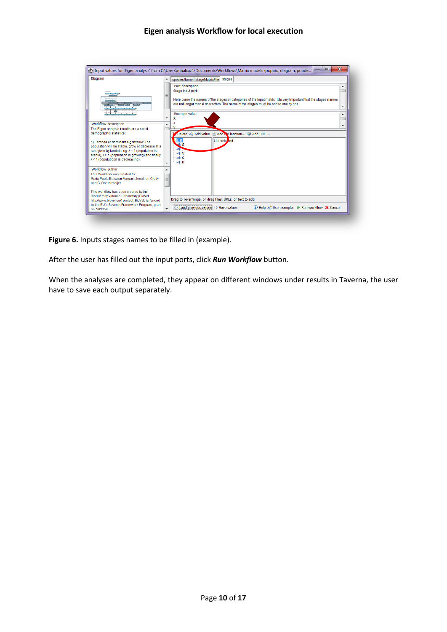| Diagram                                                                                                                                                                                                                                                                                                                                                       | ▲                        | speciesName stageMatrixFile stages                                                                                                                                                                                                                                     |  |
|---------------------------------------------------------------------------------------------------------------------------------------------------------------------------------------------------------------------------------------------------------------------------------------------------------------------------------------------------------------|--------------------------|------------------------------------------------------------------------------------------------------------------------------------------------------------------------------------------------------------------------------------------------------------------------|--|
|                                                                                                                                                                                                                                                                                                                                                               |                          | Port description<br>Stage input port:<br>Here come the names of the stages or categories of the input matrix. It is very important that the stages names<br>are not longer than 8 characters. The name of the stages must be added one by one.<br><b>Example value</b> |  |
| Workflow description<br>The Eigen analysis results are a set of<br>demographic statistics:<br>1) Lambda or dominant eigenvalue: The<br>population will be stable, grow or decrease at a<br>rate given by lambda: eq: $\lambda = 1$ (population is<br>stable), $\lambda$ > 1 (population is growing) and finally<br>$\lambda$ < 1 (populatiopn is decreasing). |                          | Delete abl Add value<br>Add Ne location Add URL<br>List sele ted<br>.ist<br>di: S<br>able <sub>3</sub><br>able V<br>able G<br>able D                                                                                                                                   |  |
| Workflow author<br>This Workflow was created by:<br>Maria Paula Balcázar-Vargas, Jonathan Giddy<br>and G. Oostermeijer<br>This workflow has been created by the                                                                                                                                                                                               |                          |                                                                                                                                                                                                                                                                        |  |
| Biodiversity Virtual e-Laboratory (BioVeL<br>http://www.biovel.eu/) project. BioVeL is funded<br>by the EU's Seventh Framework Program, grant<br>no. 283359.                                                                                                                                                                                                  | $\overline{\phantom{0}}$ | Drag to re-arrange, or drag files, URLs, or text to add<br><> Load previous values <> Save values<br><b>(i)</b> Help an <sup>2</sup> Use examples ▶ Run workflow X Cancel                                                                                              |  |

**Figure 6.** Inputs stages names to be filled in (example).

After the user has filled out the input ports, click *Run Workflow* button.

When the analyses are completed, they appear on different windows under results in Taverna, the user have to save each output separately.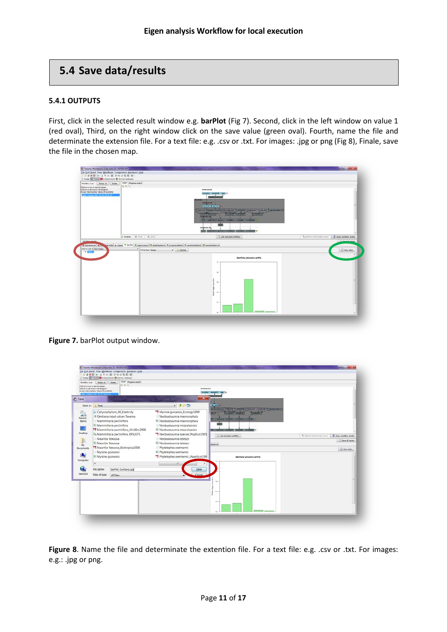### **5.4 Save data/results**

#### **5.4.1 OUTPUTS**

**5.2.4 OUTPUTS**

First, click in the selected result window e.g. **barPlot** (Fig 7). Second, click in the left window on value 1 (red oval), Third, on the right window click on the save value (green oval). Fourth, name the file and determinate the extension file. For a text file: e.g. .csv or .txt. For images: .jpg or png (Fig 8), Finale, save the file in the chosen map.

| Workflow mass<br>Delete al  Delete                                                                                                                     | <b>Graph Program report</b>     |                                                                                                                                                                                                                                                                                                                                                                                                                                                                                                                                                                                                                                                                                                                                                                                                                                                                                                                                                |                                            |
|--------------------------------------------------------------------------------------------------------------------------------------------------------|---------------------------------|------------------------------------------------------------------------------------------------------------------------------------------------------------------------------------------------------------------------------------------------------------------------------------------------------------------------------------------------------------------------------------------------------------------------------------------------------------------------------------------------------------------------------------------------------------------------------------------------------------------------------------------------------------------------------------------------------------------------------------------------------------------------------------------------------------------------------------------------------------------------------------------------------------------------------------------------|--------------------------------------------|
| Click on a ran to see its celors.<br>Click on a service in the diagram<br>to see intermediate values (if acalishe)<br>igen anziyer 2014-bi-04 10:42:52 | 九九六                             | <b>MANAGEMA</b><br><b>Continued Continued Direct &amp;</b><br><b>TAXABLE PLAY AFTS</b><br><b>PLANK</b><br>mangazyst<br><b>COMMON CONTROL</b><br>FRIEDER POWERFRIEDER STARTER (WIRTHIN   FAVE AND   PERSONAL PRODUCTION)<br><b>STATISTICS</b><br><b>BENNAMES</b><br>THE GAME OF<br>$\frac{1}{2} \left( \frac{1}{2} \right) \left( \frac{1}{2} \right) \left( \frac{1}{2} \right) \left( \frac{1}{2} \right) \left( \frac{1}{2} \right) \left( \frac{1}{2} \right) \left( \frac{1}{2} \right) \left( \frac{1}{2} \right) \left( \frac{1}{2} \right) \left( \frac{1}{2} \right) \left( \frac{1}{2} \right) \left( \frac{1}{2} \right) \left( \frac{1}{2} \right) \left( \frac{1}{2} \right) \left( \frac{1}{2} \right) \left( \frac{1}{2} \right) \left( \frac$<br>with position of the control of the bank of the control of the control of the<br>圖<br><b>MARKHER</b><br>[SINE] [SERIES AND [COMMANDS] CONTRACTS [ CONTRACTS ] [WILD CANNOT ] V |                                            |
|                                                                                                                                                        | V Feshed   III Prem   30 center | <b>U</b> Lot excuted workflow                                                                                                                                                                                                                                                                                                                                                                                                                                                                                                                                                                                                                                                                                                                                                                                                                                                                                                                  | & Referring the value of B Downorthouseaux |
| A SPONSORIE A<br>Cick in true to new values<br>· William                                                                                               | ۰<br>Value type Image           | ECONOMIC A CASE V NOTES V ASSESSMENT V ANCORAGE V PORCHANGE V AND INCOLS V ARCHIVES<br>$-$ - Lebech<br>Gentlane pneumonanthe<br>$\cdots$<br>$\ddot{}$<br>$\mathbf{a}$<br>38.5                                                                                                                                                                                                                                                                                                                                                                                                                                                                                                                                                                                                                                                                                                                                                                  | <b>In Seve vehic</b>                       |

**Figure 7.** barPlot output window.

| Workflow mast                         | Delete all  Delete<br>Click on a ran to see its celors.<br>Click on a service in the diagram                                                    | <b>Graph Program report</b><br>九九六   | <b>MARKWAYA</b>                                                                                                                                                  |                                                                                                                                                                                                                                                             |                                                          |
|---------------------------------------|-------------------------------------------------------------------------------------------------------------------------------------------------|--------------------------------------|------------------------------------------------------------------------------------------------------------------------------------------------------------------|-------------------------------------------------------------------------------------------------------------------------------------------------------------------------------------------------------------------------------------------------------------|----------------------------------------------------------|
|                                       | to see intermediate values (if available)                                                                                                       |                                      |                                                                                                                                                                  | <b>COLORADO CALIFORNIA (CALIFORNIA</b>                                                                                                                                                                                                                      |                                                          |
| Save                                  |                                                                                                                                                 |                                      | $- x$                                                                                                                                                            | <b><i>SK HOP</i></b>                                                                                                                                                                                                                                        |                                                          |
|                                       | Save in: Test                                                                                                                                   |                                      | 三度缺陷                                                                                                                                                             | <b>CONTRACT</b>                                                                                                                                                                                                                                             |                                                          |
| $\mathbb{S}$<br>Recent<br><b>Bems</b> | Callycophyllum_40_Elasticity<br><sup>2</sup> Gentiana input values Taverna<br>Mammillaria pectinifera<br><sup>4</sup> . Mammillaria pectinifera | Mammillaria pectinifera_JAridEnv2006 | Myrsine guinansis Ecology1999<br>Neobuxbaumia macrocephala<br><sup>4</sup> Neobuxbaumia macrocephala<br>Neobuxbaumia mezcalaensis<br>/ Neobuxbaumia mezcalaensis | <b>NORTHWAY CARDINAL FASE ARE IN EXAMINED PRODUCTION</b><br><b>BARASSET (BARASSET)</b><br>SHAKKETT<br><b>Section</b><br><b>Birt &amp; Immune &amp; Inchesters   constants   au annual    </b><br><b>WHITE</b><br>HAVE COMMANDED CONTRACTORS (AND ARRANGED V |                                                          |
| Desktop                               | A Mammillaria pectinifera RESULTS                                                                                                               |                                      | "I Neobuxbaumia species PopEcol2005                                                                                                                              | To Lot orcouted workflow                                                                                                                                                                                                                                    | & Referring committee values . [ B Show workflow results |
| Þ                                     | Mauritia flexuosa<br><sup>L</sup> Mauritia flexuosa                                                                                             |                                      | Neobuxbaumia tetetzo<br><sup>2</sup> . Neobuxbaumia tetetzo                                                                                                      |                                                                                                                                                                                                                                                             | C) Seve all values                                       |
| My<br>Documents                       | "I Mauritia flexuosa_Biotropica2008                                                                                                             |                                      | Phytelephas seemannii                                                                                                                                            | пиклат                                                                                                                                                                                                                                                      | <b>In Seve velue</b>                                     |
| ۱Ā.<br>Computer                       | Myrsine guinansis<br>4 Myrsine guinansis                                                                                                        |                                      | Phytelephas seemannii<br>Phytelephas seemannii JApplEcol199<br>(888)                                                                                             | Gentlane pneumonanthe                                                                                                                                                                                                                                       |                                                          |
| G                                     | File name:                                                                                                                                      | barPlot Gentiana.jpd                 | Sawe                                                                                                                                                             |                                                                                                                                                                                                                                                             |                                                          |
| Network                               | Files of type: All Files                                                                                                                        |                                      | Cancel                                                                                                                                                           |                                                                                                                                                                                                                                                             |                                                          |
|                                       |                                                                                                                                                 |                                      |                                                                                                                                                                  | ×<br>$^{2}$<br>w                                                                                                                                                                                                                                            |                                                          |

**Figure 8**. Name the file and determinate the extention file. For a text file: e.g. .csv or .txt. For images: e.g.: .jpg or png.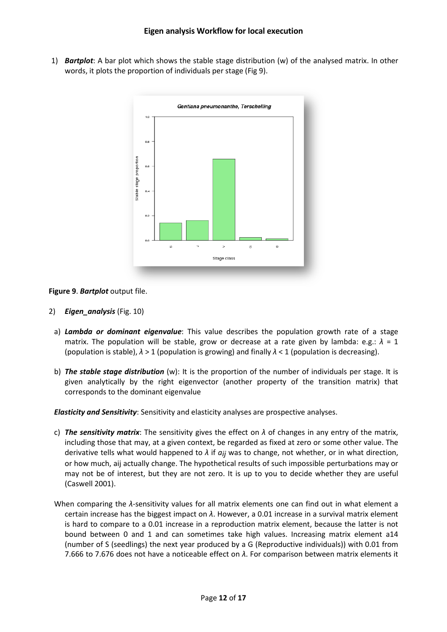1) *Bartplot*: A bar plot which shows the stable stage distribution (w) of the analysed matrix. In other words, it plots the proportion of individuals per stage (Fig 9).



### **Figure 9**. *Bartplot* output file.

- 2) *Eigen\_analysis* (Fig. 10)
	- a) *Lambda or dominant eigenvalue*: This value describes the population growth rate of a stage matrix. The population will be stable, grow or decrease at a rate given by lambda: e.g.: *λ* = 1 (population is stable), *λ* > 1 (population is growing) and finally *λ* < 1 (population is decreasing).
	- b) *The stable stage distribution* (w): It is the proportion of the number of individuals per stage. It is given analytically by the right eigenvector (another property of the transition matrix) that corresponds to the dominant eigenvalue

*Elasticity and Sensitivity*: Sensitivity and elasticity analyses are prospective analyses.

- c) *The sensitivity matrix*: The sensitivity gives the effect on *λ* of changes in any entry of the matrix, including those that may, at a given context, be regarded as fixed at zero or some other value. The derivative tells what would happened to *λ* if *aij* was to change, not whether, or in what direction, or how much, aij actually change. The hypothetical results of such impossible perturbations may or may not be of interest, but they are not zero. It is up to you to decide whether they are useful (Caswell 2001).
- When comparing the *λ*-sensitivity values for all matrix elements one can find out in what element a certain increase has the biggest impact on *λ*. However, a 0.01 increase in a survival matrix element is hard to compare to a 0.01 increase in a reproduction matrix element, because the latter is not bound between 0 and 1 and can sometimes take high values. Increasing matrix element a14 (number of S (seedlings) the next year produced by a G (Reproductive individuals)) with 0.01 from 7.666 to 7.676 does not have a noticeable effect on *λ*. For comparison between matrix elements it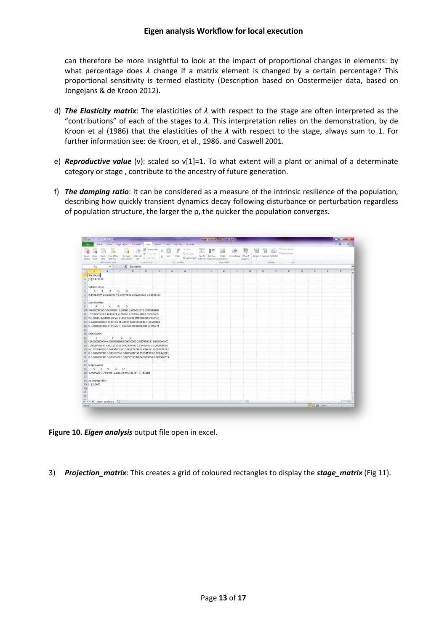can therefore be more insightful to look at the impact of proportional changes in elements: by what percentage does *λ* change if a matrix element is changed by a certain percentage? This proportional sensitivity is termed elasticity (Description based on Oostermeijer data, based on Jongejans & de Kroon 2012).

- d) *The Elasticity matrix*: The elasticities of *λ* with respect to the stage are often interpreted as the "contributions" of each of the stages to *λ*. This interpretation relies on the demonstration, by de Kroon et al (1986) that the elasticities of the *λ* with respect to the stage, always sum to 1. For further information see: de Kroon, et al., 1986. and Caswell 2001.
- e) *Reproductive value* (v): scaled so v[1]=1. To what extent will a plant or animal of a determinate category or stage , contribute to the ancestry of future generation.
- f) *The damping ratio*: it can be considered as a measure of the intrinsic resilience of the population, describing how quickly transient dynamics decay following disturbance or perturbation regardless of population structure, the larger the p, the quicker the population converges.

| $2$ $4 - 1$ $12 - 1$                                                                                                               |                   |                                         |                                                                                   |   |                               |                                                        | eigen analysis - Mimourit Einel                  |                                 |                               |            |                                                       |              |                                                             |          |   |                 | <b>Service Ser</b>      |    |
|------------------------------------------------------------------------------------------------------------------------------------|-------------------|-----------------------------------------|-----------------------------------------------------------------------------------|---|-------------------------------|--------------------------------------------------------|--------------------------------------------------|---------------------------------|-------------------------------|------------|-------------------------------------------------------|--------------|-------------------------------------------------------------|----------|---|-----------------|-------------------------|----|
|                                                                                                                                    |                   |                                         | Home Insert Page Layout Formulas Data Review View Add-Ins Acrobat                 |   |                               |                                                        |                                                  |                                 |                               |            |                                                       |              |                                                             |          |   |                 | $a + 2a + 3b + 3b + 3b$ |    |
| from From From Other<br><b>From</b><br>Text<br>Web<br>Access.<br>Get indemal Data                                                  |                   | Feriting<br>Sources - Connections All - | Connections<br>ø<br>de troperties<br><b>Batrash</b><br>se (diting<br>connections. |   | 11 圆形<br>11 Sect<br>$1$ fiber | W. Clear<br>to Heatshy<br>V Advanced<br>Scrit & Filter | Test for Remove<br>Columns Dupficates Validation | $=$ $\frac{1}{6}$<br>Data Tools | ₩<br>Data Consolidate What-If | Analysis * | ₩<br>Group Lingroup Subtrital<br>$-16$<br><b>Call</b> | 藍<br>Outline | *3 Show Detail<br><sup>-7</sup> 2 Hide Detail<br><b>Co.</b> |          |   |                 |                         |    |
| A1                                                                                                                                 | $+$ $-$           | fe Slambda1                             |                                                                                   |   |                               |                                                        |                                                  |                                 |                               |            |                                                       |              |                                                             |          |   |                 |                         |    |
| B<br>$\Lambda$                                                                                                                     |                   | $\mathbb{C}$<br>D                       | E                                                                                 | F | G                             | H                                                      |                                                  | ĸ                               |                               | M          | N.                                                    | $\circ$      | p                                                           | $\alpha$ | R | $\mathsf{S}$    |                         |    |
| Slambda1                                                                                                                           |                   |                                         |                                                                                   |   |                               |                                                        |                                                  |                                 |                               |            |                                                       |              |                                                             |          |   |                 |                         |    |
| [1] 1.232338                                                                                                                       |                   |                                         |                                                                                   |   |                               |                                                        |                                                  |                                 |                               |            |                                                       |              |                                                             |          |   |                 |                         |    |
|                                                                                                                                    |                   |                                         |                                                                                   |   |                               |                                                        |                                                  |                                 |                               |            |                                                       |              |                                                             |          |   |                 |                         |    |
| Sstable.stage                                                                                                                      |                   |                                         |                                                                                   |   |                               |                                                        |                                                  |                                 |                               |            |                                                       |              |                                                             |          |   |                 |                         |    |
| $S \cup I$                                                                                                                         | G<br>$\mathbf{v}$ | D                                       |                                                                                   |   |                               |                                                        |                                                  |                                 |                               |            |                                                       |              |                                                             |          |   |                 |                         |    |
| 0.14218794 0.16165957 0.65944861 0.02285525 0.01383863                                                                             |                   |                                         |                                                                                   |   |                               |                                                        |                                                  |                                 |                               |            |                                                       |              |                                                             |          |   |                 |                         |    |
| Ssensitivities                                                                                                                     |                   |                                         |                                                                                   |   |                               |                                                        |                                                  |                                 |                               |            |                                                       |              |                                                             |          |   |                 |                         |    |
| $S \cup V$                                                                                                                         | G                 | $\mathbf{D}$                            |                                                                                   |   |                               |                                                        |                                                  |                                 |                               |            |                                                       |              |                                                             |          |   |                 |                         |    |
| 10 \$ 0.00000000 0.0000000 0.00000 0.006042076 0.00000000                                                                          |                   |                                         |                                                                                   |   |                               |                                                        |                                                  |                                 |                               |            |                                                       |              |                                                             |          |   |                 |                         |    |
| 11 / 0.14255579 0.1620878 0.00000 0.022914380 0.00000000                                                                           |                   |                                         |                                                                                   |   |                               |                                                        |                                                  |                                 |                               |            |                                                       |              |                                                             |          |   |                 |                         |    |
| 12 V 0.08206359 0.0933074 0.38050 0.013190880 0.00798595                                                                           |                   |                                         |                                                                                   |   |                               |                                                        |                                                  |                                 |                               |            |                                                       |              |                                                             |          |   |                 |                         |    |
| 13 G 0.00000000 2.7675986 11.28901 0.391255815 0.23690160                                                                          |                   |                                         |                                                                                   |   |                               |                                                        |                                                  |                                 |                               |            |                                                       |              |                                                             |          |   |                 |                         |    |
| 14 D 0.00000000 0.3325676 1.35654 0.000000000 0.02846721                                                                           |                   |                                         |                                                                                   |   |                               |                                                        |                                                  |                                 |                               |            |                                                       |              |                                                             |          |   |                 |                         |    |
|                                                                                                                                    |                   |                                         |                                                                                   |   |                               |                                                        |                                                  |                                 |                               |            |                                                       |              |                                                             |          |   |                 |                         |    |
| 16 Selasticities                                                                                                                   |                   |                                         |                                                                                   |   |                               |                                                        |                                                  |                                 |                               |            |                                                       |              |                                                             |          |   |                 |                         |    |
| $5 \quad 1$                                                                                                                        | G<br>v            | Ď                                       |                                                                                   |   |                               |                                                        |                                                  |                                 |                               |            |                                                       |              |                                                             |          |   |                 |                         |    |
|                                                                                                                                    |                   |                                         |                                                                                   |   |                               |                                                        |                                                  |                                 |                               |            |                                                       |              |                                                             |          |   |                 |                         |    |
| 19 10:006705037 0.001315287 0.00000000 0.154066510 0.000000000                                                                     |                   |                                         |                                                                                   |   |                               |                                                        |                                                  |                                 |                               |            |                                                       |              |                                                             |          |   |                 |                         |    |
| 20 V 0.030883150 0.062844075 0.27823757 0.003058271 0.005575792                                                                    |                   |                                         |                                                                                   |   |                               |                                                        |                                                  |                                 |                               |            |                                                       |              |                                                             |          |   |                 |                         |    |
| 21 G 0.000000000 0.089832455 0.08252831 0.196541848 0.022353201<br>22 D 0.000000000 0.008096015 0.01983398 0.000000000 0.000537213 |                   |                                         |                                                                                   |   |                               |                                                        |                                                  |                                 |                               |            |                                                       |              |                                                             |          |   |                 |                         |    |
|                                                                                                                                    |                   |                                         |                                                                                   |   |                               |                                                        |                                                  |                                 |                               |            |                                                       |              |                                                             |          |   |                 |                         |    |
| 24 Scepro.volue                                                                                                                    |                   |                                         |                                                                                   |   |                               |                                                        |                                                  |                                 |                               |            |                                                       |              |                                                             |          |   |                 |                         |    |
| S J V G D                                                                                                                          |                   |                                         |                                                                                   |   |                               |                                                        |                                                  |                                 |                               |            |                                                       |              |                                                             |          |   |                 |                         |    |
| 25 1.000000 3.792458 2.183170 64.755197 7.781288                                                                                   |                   |                                         |                                                                                   |   |                               |                                                        |                                                  |                                 |                               |            |                                                       |              |                                                             |          |   |                 |                         |    |
|                                                                                                                                    |                   |                                         |                                                                                   |   |                               |                                                        |                                                  |                                 |                               |            |                                                       |              |                                                             |          |   |                 |                         |    |
| 28 Sdamping ratio                                                                                                                  |                   |                                         |                                                                                   |   |                               |                                                        |                                                  |                                 |                               |            |                                                       |              |                                                             |          |   |                 |                         |    |
| 29 [1] 2.0902                                                                                                                      |                   |                                         |                                                                                   |   |                               |                                                        |                                                  |                                 |                               |            |                                                       |              |                                                             |          |   |                 |                         |    |
|                                                                                                                                    |                   |                                         |                                                                                   |   |                               |                                                        |                                                  |                                 |                               |            |                                                       |              |                                                             |          |   |                 |                         |    |
|                                                                                                                                    |                   |                                         |                                                                                   |   |                               |                                                        |                                                  |                                 |                               |            |                                                       |              |                                                             |          |   |                 |                         |    |
|                                                                                                                                    |                   |                                         |                                                                                   |   |                               |                                                        |                                                  |                                 |                               |            |                                                       |              |                                                             |          |   |                 |                         |    |
| $H + F$ $\ge$ eigen analysis                                                                                                       |                   |                                         |                                                                                   |   |                               |                                                        |                                                  |                                 |                               | $\Box$     |                                                       |              | $\rightarrow$                                               |          |   |                 |                         | ×1 |
| Rasdy                                                                                                                              |                   |                                         |                                                                                   |   |                               |                                                        |                                                  |                                 |                               |            |                                                       |              |                                                             |          |   | HELLING DON (-) | - 1                     |    |

**Figure 10.** *Eigen analysis* output file open in excel.

3) *Projection\_matrix*: This creates a grid of coloured rectangles to display the *stage\_matrix* (Fig 11).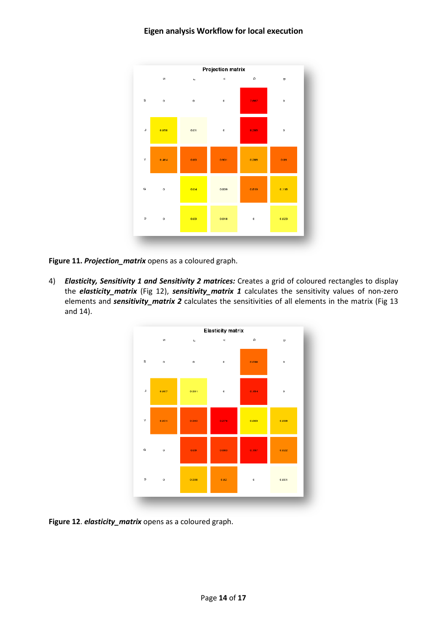

**Figure 11.** *Projection\_matrix* opens as a coloured graph.

4) *Elasticity, Sensitivity 1 and Sensitivity 2 matrices:* Creates a grid of coloured rectangles to display the *elasticity\_matrix* (Fig 12), *sensitivity\_matrix 1* calculates the sensitivity values of non-zero elements and *sensitivity\_matrix 2* calculates the sensitivities of all elements in the matrix (Fig 13 and 14).



**Figure 12**. *elasticity\_matrix* opens as a coloured graph.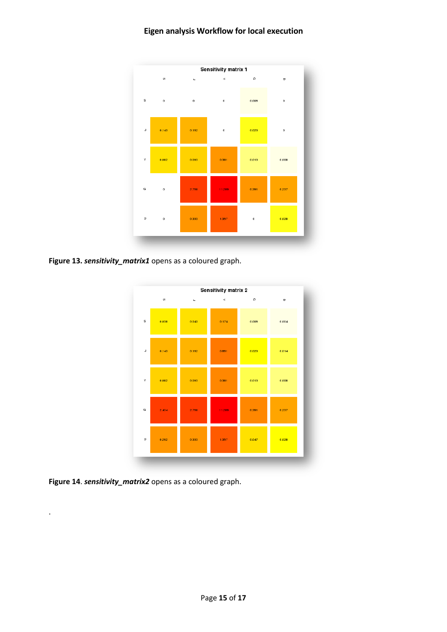

**Figure 13.** *sensitivity\_matrix1* opens as a coloured graph.



**Figure 14**. *sensitivity\_matrix2* opens as a coloured graph.

.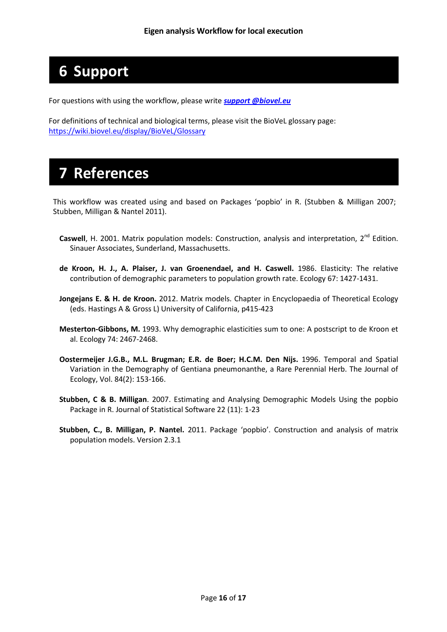# **6 Support**

For questions with using the workflow, please write *[support @biovel.eu](mailto:contact@biovel.eu)*

For definitions of technical and biological terms, please visit the BioVeL glossary page: <https://wiki.biovel.eu/display/BioVeL/Glossary>

# **7 References**

This workflow was created using and based on Packages 'popbio' in R. (Stubben & Milligan 2007; Stubben, Milligan & Nantel 2011).

- Caswell, H. 2001. Matrix population models: Construction, analysis and interpretation, 2<sup>nd</sup> Edition. Sinauer Associates, Sunderland, Massachusetts.
- **de Kroon, H. J., A. Plaiser, J. van Groenendael, and H. Caswell.** 1986. Elasticity: The relative contribution of demographic parameters to population growth rate. Ecology 67: 1427-1431.
- **Jongejans E. & H. de Kroon.** 2012. Matrix models. Chapter in Encyclopaedia of Theoretical Ecology (eds. Hastings A & Gross L) University of California, p415-423
- **Mesterton-Gibbons, M.** 1993. Why demographic elasticities sum to one: A postscript to de Kroon et al. Ecology 74: 2467-2468.
- **Oostermeijer J.G.B., M.L. Brugman; E.R. de Boer; H.C.M. Den Nijs.** 1996. Temporal and Spatial Variation in the Demography of Gentiana pneumonanthe, a Rare Perennial Herb. The Journal of Ecology, Vol. 84(2): 153-166.
- **Stubben, C & B. Milligan**. 2007. Estimating and Analysing Demographic Models Using the popbio Package in R. Journal of Statistical Software 22 (11): 1-23
- **Stubben, C., B. Milligan, P. Nantel.** 2011. Package 'popbio'. Construction and analysis of matrix population models. Version 2.3.1